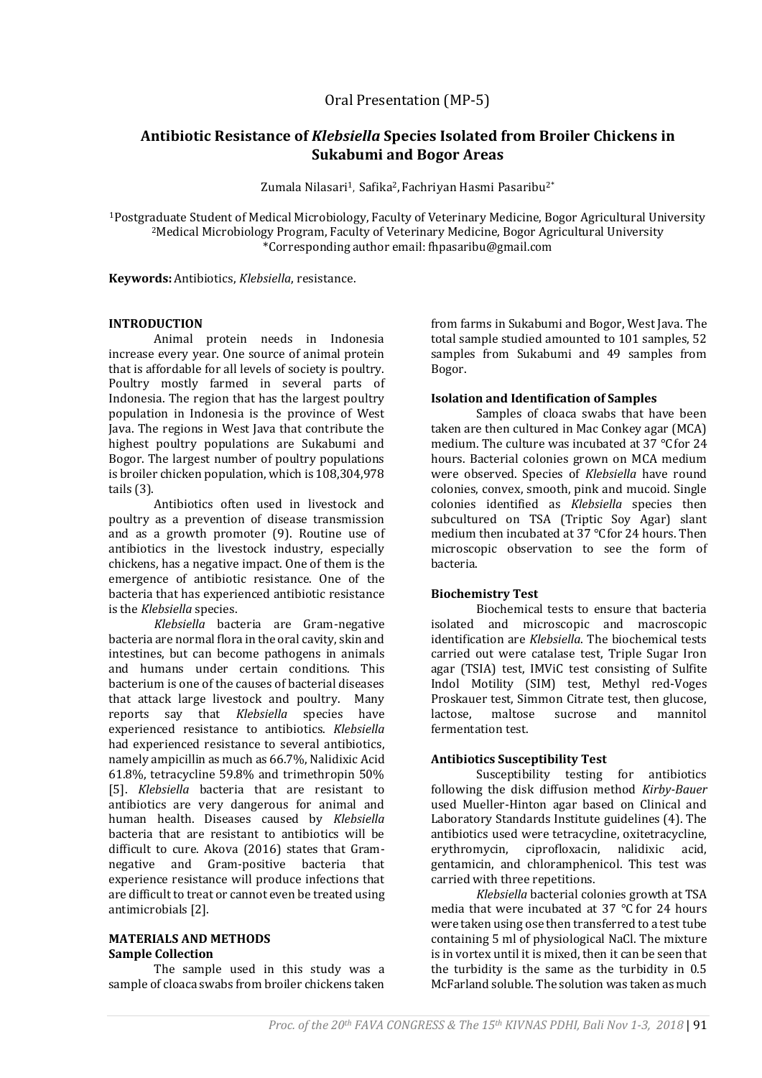# **Antibiotic Resistance of** *Klebsiella* **Species Isolated from Broiler Chickens in Sukabumi and Bogor Areas**

Zumala Nilasari<sup>1</sup>, Safika<sup>2</sup>, Fachriyan Hasmi Pasaribu<sup>2\*</sup>

<sup>1</sup>Postgraduate Student of Medical Microbiology, Faculty of Veterinary Medicine, Bogor Agricultural University <sup>2</sup>Medical Microbiology Program, Faculty of Veterinary Medicine, Bogor Agricultural University \*Corresponding author email: fhpasaribu@gmail.com

**Keywords:** Antibiotics, *Klebsiella*, resistance.

### **INTRODUCTION**

Animal protein needs in Indonesia increase every year. One source of animal protein that is affordable for all levels of society is poultry. Poultry mostly farmed in several parts of Indonesia. The region that has the largest poultry population in Indonesia is the province of West Java. The regions in West Java that contribute the highest poultry populations are Sukabumi and Bogor. The largest number of poultry populations is broiler chicken population, which is 108,304,978 tails (3).

Antibiotics often used in livestock and poultry as a prevention of disease transmission and as a growth promoter (9). Routine use of antibiotics in the livestock industry, especially chickens, has a negative impact. One of them is the emergence of antibiotic resistance. One of the bacteria that has experienced antibiotic resistance is the *Klebsiella* species.

*Klebsiella* bacteria are Gram-negative bacteria are normal flora in the oral cavity, skin and intestines, but can become pathogens in animals and humans under certain conditions. This bacterium is one of the causes of bacterial diseases that attack large livestock and poultry. Many reports say that *Klebsiella* species have experienced resistance to antibiotics. *Klebsiella* had experienced resistance to several antibiotics, namely ampicillin as much as 66.7%, Nalidixic Acid 61.8%, tetracycline 59.8% and trimethropin 50% [5]. *Klebsiella* bacteria that are resistant to antibiotics are very dangerous for animal and human health. Diseases caused by *Klebsiella* bacteria that are resistant to antibiotics will be difficult to cure. Akova (2016) states that Gramnegative and Gram-positive bacteria that experience resistance will produce infections that are difficult to treat or cannot even be treated using antimicrobials [2].

## **MATERIALS AND METHODS Sample Collection**

The sample used in this study was a sample of cloaca swabs from broiler chickens taken

from farms in Sukabumi and Bogor, West Java. The total sample studied amounted to 101 samples, 52 samples from Sukabumi and 49 samples from Bogor.

## **Isolation and Identification of Samples**

Samples of cloaca swabs that have been taken are then cultured in Mac Conkey agar (MCA) medium. The culture was incubated at 37 ℃for 24 hours. Bacterial colonies grown on MCA medium were observed. Species of *Klebsiella* have round colonies, convex, smooth, pink and mucoid. Single colonies identified as *Klebsiella* species then subcultured on TSA (Triptic Soy Agar) slant medium then incubated at 37 ℃for 24 hours. Then microscopic observation to see the form of bacteria.

## **Biochemistry Test**

Biochemical tests to ensure that bacteria isolated and microscopic and macroscopic identification are *Klebsiella*. The biochemical tests carried out were catalase test, Triple Sugar Iron agar (TSIA) test, IMViC test consisting of Sulfite Indol Motility (SIM) test, Methyl red-Voges Proskauer test, Simmon Citrate test, then glucose, lactose, maltose sucrose and mannitol fermentation test.

## **Antibiotics Susceptibility Test**

Susceptibility testing for antibiotics following the disk diffusion method *Kirby-Bauer*  used Mueller-Hinton agar based on Clinical and Laboratory Standards Institute guidelines (4). The antibiotics used were tetracycline, oxitetracycline, erythromycin, ciprofloxacin, nalidixic acid, gentamicin, and chloramphenicol. This test was carried with three repetitions.

*Klebsiella* bacterial colonies growth at TSA media that were incubated at 37 ℃ for 24 hours were taken using ose then transferred to a test tube containing 5 ml of physiological NaCl. The mixture is in vortex until it is mixed, then it can be seen that the turbidity is the same as the turbidity in 0.5 McFarland soluble. The solution was taken as much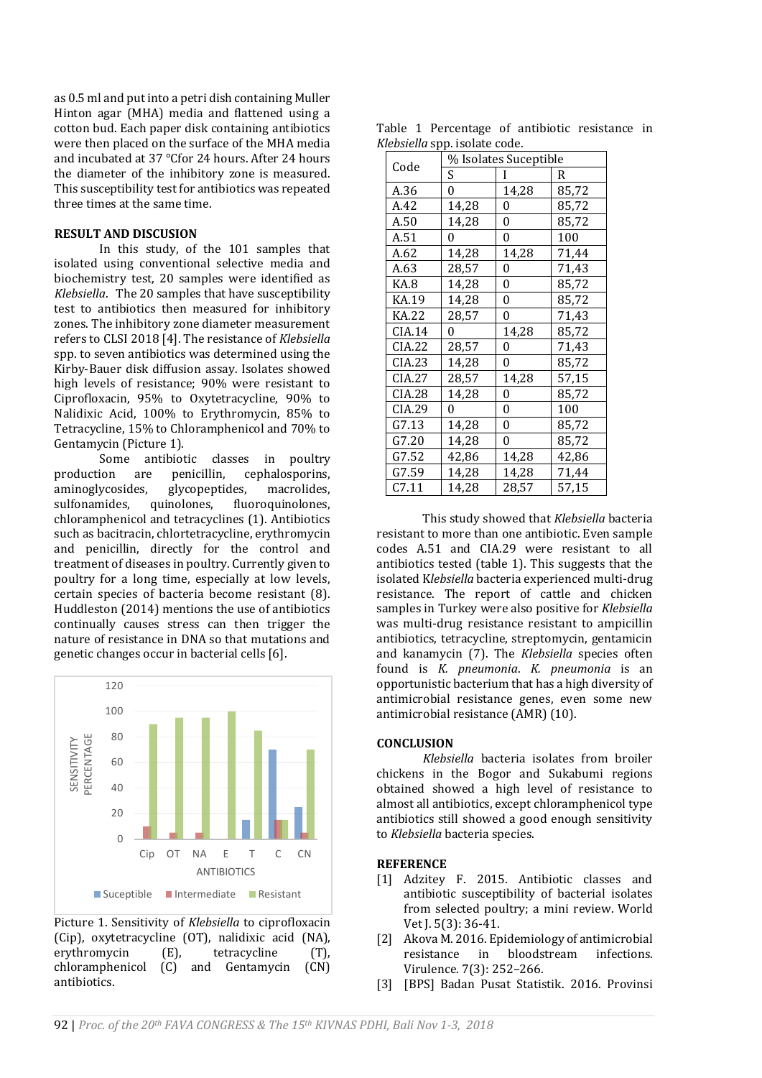as 0.5 ml and put into a petri dish containing Muller Hinton agar (MHA) media and flattened using a cotton bud. Each paper disk containing antibiotics were then placed on the surface of the MHA media and incubated at 37 ℃for 24 hours. After 24 hours the diameter of the inhibitory zone is measured. This susceptibility test for antibiotics was repeated three times at the same time.

#### **RESULT AND DISCUSION**

In this study, of the 101 samples that isolated using conventional selective media and biochemistry test, 20 samples were identified as *Klebsiella*. The 20 samples that have susceptibility test to antibiotics then measured for inhibitory zones. The inhibitory zone diameter measurement refers to CLSI 2018 [4]. The resistance of *Klebsiella* spp. to seven antibiotics was determined using the Kirby-Bauer disk diffusion assay. Isolates showed high levels of resistance; 90% were resistant to Ciprofloxacin, 95% to Oxytetracycline, 90% to Nalidixic Acid, 100% to Erythromycin, 85% to Tetracycline, 15% to Chloramphenicol and 70% to Gentamycin (Picture 1).

Some antibiotic classes in poultry production are penicillin, cephalosporins, aminoglycosides, glycopeptides, macrolides, sulfonamides, quinolones, fluoroquinolones, chloramphenicol and tetracyclines (1). Antibiotics such as bacitracin, chlortetracycline, erythromycin and penicillin, directly for the control and treatment of diseases in poultry. Currently given to poultry for a long time, especially at low levels, certain species of bacteria become resistant (8). Huddleston (2014) mentions the use of antibiotics continually causes stress can then trigger the nature of resistance in DNA so that mutations and genetic changes occur in bacterial cells [6].



Picture 1. Sensitivity of *Klebsiella* to ciprofloxacin (Cip), oxytetracycline (OT), nalidixic acid (NA), erythromycin (E), tetracycline (T), chloramphenicol (C) and Gentamycin (CN) antibiotics.

Table 1 Percentage of antibiotic resistance in *Klebsiella* spp. isolate code.

| Code   | Dolchu oppi toolute couc<br>% Isolates Suceptible |       |       |
|--------|---------------------------------------------------|-------|-------|
|        | S                                                 |       | R     |
| A.36   | 0                                                 | 14,28 | 85,72 |
| A.42   | 14,28                                             | 0     | 85,72 |
| A.50   | 14,28                                             | 0     | 85,72 |
| A.51   | 0                                                 | 0     | 100   |
| A.62   | 14,28                                             | 14,28 | 71,44 |
| A.63   | 28,57                                             | 0     | 71,43 |
| KA.8   | 14,28                                             | 0     | 85,72 |
| KA.19  | 14,28                                             | 0     | 85,72 |
| KA.22  | 28,57                                             | 0     | 71,43 |
| CIA.14 | 0                                                 | 14,28 | 85,72 |
| CIA.22 | 28,57                                             | 0     | 71,43 |
| CIA.23 | 14,28                                             | 0     | 85,72 |
| CIA.27 | 28,57                                             | 14,28 | 57,15 |
| CIA.28 | 14,28                                             | 0     | 85,72 |
| CIA.29 | 0                                                 | 0     | 100   |
| G7.13  | 14,28                                             | 0     | 85,72 |
| G7.20  | 14,28                                             | 0     | 85,72 |
| G7.52  | 42,86                                             | 14,28 | 42,86 |
| G7.59  | 14,28                                             | 14,28 | 71,44 |
| C7.11  | 14,28                                             | 28,57 | 57,15 |

This study showed that *Klebsiella* bacteria resistant to more than one antibiotic. Even sample codes A.51 and CIA.29 were resistant to all antibiotics tested (table 1). This suggests that the isolated K*lebsiella* bacteria experienced multi-drug resistance. The report of cattle and chicken samples in Turkey were also positive for *Klebsiella* was multi-drug resistance resistant to ampicillin antibiotics, tetracycline, streptomycin, gentamicin and kanamycin (7). The *Klebsiella* species often found is *K. pneumonia*. *K. pneumonia* is an opportunistic bacterium that has a high diversity of antimicrobial resistance genes, even some new antimicrobial resistance (AMR) (10).

## **CONCLUSION**

*Klebsiella* bacteria isolates from broiler chickens in the Bogor and Sukabumi regions obtained showed a high level of resistance to almost all antibiotics, except chloramphenicol type antibiotics still showed a good enough sensitivity to *Klebsiella* bacteria species.

#### **REFERENCE**

- [1] Adzitey F. 2015. Antibiotic classes and antibiotic susceptibility of bacterial isolates from selected poultry; a mini review. World Vet J. 5(3): 36-41.
- [2] Akova M. 2016. Epidemiology of antimicrobial resistance in bloodstream infections. Virulence. 7(3): 252–266.
- [3] [BPS] Badan Pusat Statistik. 2016. Provinsi